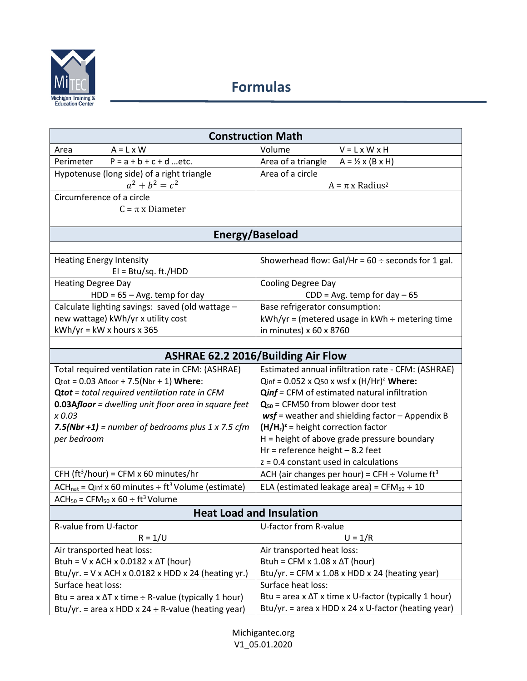

| <b>Construction Math</b>                                     |                                                                |  |
|--------------------------------------------------------------|----------------------------------------------------------------|--|
| $A = L \times W$<br>Area                                     | Volume<br>$V = L \times W \times H$                            |  |
| $P = a + b + c + d$ etc.<br>Perimeter                        | Area of a triangle<br>$A = \frac{1}{2} \times (B \times H)$    |  |
| Hypotenuse (long side) of a right triangle                   | Area of a circle                                               |  |
| $a^2 + b^2 = c^2$                                            | $A = \pi x$ Radius <sup>2</sup>                                |  |
| Circumference of a circle                                    |                                                                |  |
| $C = \pi x$ Diameter                                         |                                                                |  |
|                                                              |                                                                |  |
| <b>Energy/Baseload</b>                                       |                                                                |  |
|                                                              |                                                                |  |
| <b>Heating Energy Intensity</b><br>$EI = Btu/sq. ft./HDD$    | Showerhead flow: Gal/Hr = $60 \div$ seconds for 1 gal.         |  |
| <b>Heating Degree Day</b>                                    | <b>Cooling Degree Day</b>                                      |  |
| $HDD = 65 - Avg.$ temp for day                               | $CDD = Avg.$ temp for day $-65$                                |  |
| Calculate lighting savings: saved (old wattage -             | Base refrigerator consumption:                                 |  |
| new wattage) kWh/yr x utility cost                           | kWh/yr = (metered usage in kWh ÷ metering time                 |  |
| $kWh/yr = kW \times hours \times 365$                        | in minutes) x 60 x 8760                                        |  |
|                                                              |                                                                |  |
| <b>ASHRAE 62.2 2016/Building Air Flow</b>                    |                                                                |  |
| Total required ventilation rate in CFM: (ASHRAE)             | Estimated annual infiltration rate - CFM: (ASHRAE)             |  |
| $Q_{\text{tot}} = 0.03$ Afloor + 7.5(Nbr + 1) Where:         | $Qinf = 0.052 \times Q50 \times Wsf \times (H/Hr)^2$ Where:    |  |
| <b>Qtot</b> = total required ventilation rate in CFM         | <b>Qinf</b> = CFM of estimated natural infiltration            |  |
| <b>0.03Afloor</b> = dwelling unit floor area in square feet  | $Q_{50}$ = CFM50 from blower door test                         |  |
| x 0.03                                                       | $wsf$ = weather and shielding factor - Appendix B              |  |
| 7.5(Nbr +1) = number of bedrooms plus $1 \times 7.5$ cfm     | $(H/Hr)z$ = height correction factor                           |  |
| per bedroom                                                  | $H =$ height of above grade pressure boundary                  |  |
|                                                              | Hr = reference height $-8.2$ feet                              |  |
|                                                              | $z = 0.4$ constant used in calculations                        |  |
| CFH (ft <sup>3</sup> /hour) = CFM x 60 minutes/hr            | ACH (air changes per hour) = CFH $\div$ Volume ft <sup>3</sup> |  |
| $ACHnat = Qinf x 60 minutes ÷ ft3 Volume (estimate)$         | ELA (estimated leakage area) = $CFM_{50} \div 10$              |  |
| $ACH_{50}$ = CFM <sub>50</sub> x 60 ÷ ft <sup>3</sup> Volume |                                                                |  |
| <b>Heat Load and Insulation</b>                              |                                                                |  |
| R-value from U-factor                                        | U-factor from R-value                                          |  |
| $R = 1/U$                                                    | $U = 1/R$                                                      |  |
| Air transported heat loss:                                   | Air transported heat loss:                                     |  |
| Btuh = $V \times ACH \times 0.0182 \times \Delta T$ (hour)   | Btuh = CFM x $1.08 \times \Delta T$ (hour)                     |  |
| Btu/yr. = V x ACH x 0.0182 x HDD x 24 (heating yr.)          | Btu/yr. = CFM x $1.08$ x HDD x 24 (heating year)               |  |
| Surface heat loss:                                           | Surface heat loss:                                             |  |
| Btu = area x $\Delta T$ x time ÷ R-value (typically 1 hour)  | Btu = area x $\Delta T$ x time x U-factor (typically 1 hour)   |  |
| Btu/yr. = area x HDD x 24 $\div$ R-value (heating year)      | Btu/yr. = area x HDD x 24 x U-factor (heating year)            |  |

Michigantec.org V1\_05.01.2020